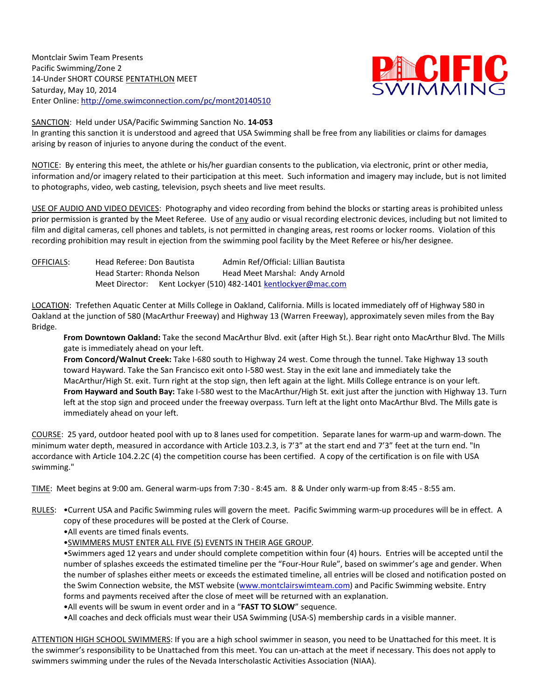Montclair Swim Team Presents Pacific Swimming/Zone 2 14-Under SHORT COURSE PENTATHLON MEET Saturday, May 10, 2014 Enter Online: http://ome.swimconnection.com/pc/mont20140510



SANCTION: Held under USA/Pacific Swimming Sanction No. **14-053**

In granting this sanction it is understood and agreed that USA Swimming shall be free from any liabilities or claims for damages arising by reason of injuries to anyone during the conduct of the event.

NOTICE: By entering this meet, the athlete or his/her guardian consents to the publication, via electronic, print or other media, information and/or imagery related to their participation at this meet. Such information and imagery may include, but is not limited to photographs, video, web casting, television, psych sheets and live meet results.

USE OF AUDIO AND VIDEO DEVICES: Photography and video recording from behind the blocks or starting areas is prohibited unless prior permission is granted by the Meet Referee. Use of any audio or visual recording electronic devices, including but not limited to film and digital cameras, cell phones and tablets, is not permitted in changing areas, rest rooms or locker rooms. Violation of this recording prohibition may result in ejection from the swimming pool facility by the Meet Referee or his/her designee.

| OFFICIALS: | Head Referee: Don Bautista  |                                                 | Admin Ref/Official: Lillian Bautista |  |                                |  |  |  |
|------------|-----------------------------|-------------------------------------------------|--------------------------------------|--|--------------------------------|--|--|--|
|            | Head Starter: Rhonda Nelson |                                                 |                                      |  | Head Meet Marshal: Andy Arnold |  |  |  |
|            | Meet Director:              | Kent Lockyer (510) 482-1401 kentlockyer@mac.com |                                      |  |                                |  |  |  |

LOCATION: Trefethen Aquatic Center at Mills College in Oakland, California. Mills is located immediately off of Highway 580 in Oakland at the junction of 580 (MacArthur Freeway) and Highway 13 (Warren Freeway), approximately seven miles from the Bay Bridge.

**From Downtown Oakland:** Take the second MacArthur Blvd. exit (after High St.). Bear right onto MacArthur Blvd. The Mills gate is immediately ahead on your left.

**From Concord/Walnut Creek:** Take I-680 south to Highway 24 west. Come through the tunnel. Take Highway 13 south toward Hayward. Take the San Francisco exit onto I-580 west. Stay in the exit lane and immediately take the MacArthur/High St. exit. Turn right at the stop sign, then left again at the light. Mills College entrance is on your left. **From Hayward and South Bay:** Take I-580 west to the MacArthur/High St. exit just after the junction with Highway 13. Turn left at the stop sign and proceed under the freeway overpass. Turn left at the light onto MacArthur Blvd. The Mills gate is immediately ahead on your left.

COURSE: 25 yard, outdoor heated pool with up to 8 lanes used for competition. Separate lanes for warm-up and warm-down. The minimum water depth, measured in accordance with Article 103.2.3, is 7'3" at the start end and 7'3" feet at the turn end. "In accordance with Article 104.2.2C (4) the competition course has been certified. A copy of the certification is on file with USA swimming."

TIME: Meet begins at 9:00 am. General warm-ups from 7:30 - 8:45 am. 8 & Under only warm-up from 8:45 - 8:55 am.

- RULES: . Current USA and Pacific Swimming rules will govern the meet. Pacific Swimming warm-up procedures will be in effect. A copy of these procedures will be posted at the Clerk of Course.
	- •All events are timed finals events.
	- •SWIMMERS MUST ENTER ALL FIVE (5) EVENTS IN THEIR AGE GROUP.

•Swimmers aged 12 years and under should complete competition within four (4) hours. Entries will be accepted until the number of splashes exceeds the estimated timeline per the "Four-Hour Rule", based on swimmer's age and gender. When the number of splashes either meets or exceeds the estimated timeline, all entries will be closed and notification posted on the Swim Connection website, the MST website [\(www.montclairswimteam.com\)](http://www.montclairswimteam.com/) and Pacific Swimming website. Entry forms and payments received after the close of meet will be returned with an explanation.

•All events will be swum in event order and in a "**FAST TO SLOW**" sequence.

•All coaches and deck officials must wear their USA Swimming (USA-S) membership cards in a visible manner.

ATTENTION HIGH SCHOOL SWIMMERS: If you are a high school swimmer in season, you need to be Unattached for this meet. It is the swimmer's responsibility to be Unattached from this meet. You can un-attach at the meet if necessary. This does not apply to swimmers swimming under the rules of the Nevada Interscholastic Activities Association (NIAA).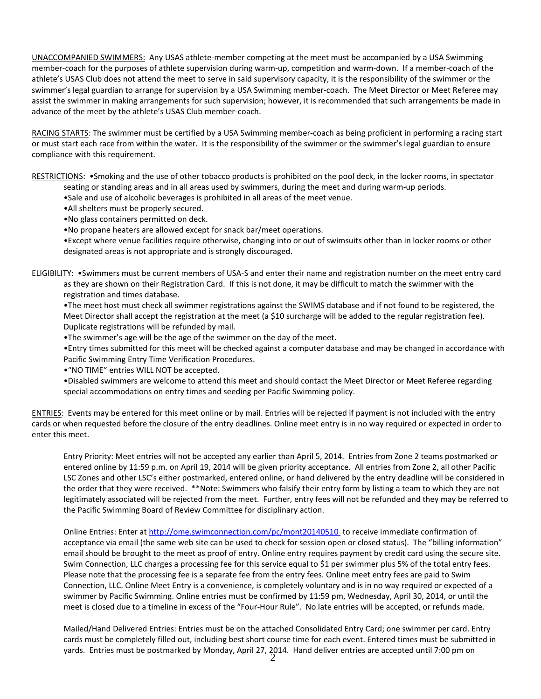UNACCOMPANIED SWIMMERS: Any USAS athlete-member competing at the meet must be accompanied by a USA Swimming member-coach for the purposes of athlete supervision during warm-up, competition and warm-down. If a member-coach of the athlete's USAS Club does not attend the meet to serve in said supervisory capacity, it is the responsibility of the swimmer or the swimmer's legal guardian to arrange for supervision by a USA Swimming member-coach. The Meet Director or Meet Referee may assist the swimmer in making arrangements for such supervision; however, it is recommended that such arrangements be made in advance of the meet by the athlete's USAS Club member-coach.

RACING STARTS: The swimmer must be certified by a USA Swimming member-coach as being proficient in performing a racing start or must start each race from within the water. It is the responsibility of the swimmer or the swimmer's legal guardian to ensure compliance with this requirement.

RESTRICTIONS: •Smoking and the use of other tobacco products is prohibited on the pool deck, in the locker rooms, in spectator seating or standing areas and in all areas used by swimmers, during the meet and during warm-up periods.

•Sale and use of alcoholic beverages is prohibited in all areas of the meet venue.

- •All shelters must be properly secured.
- •No glass containers permitted on deck.

•No propane heaters are allowed except for snack bar/meet operations.

•Except where venue facilities require otherwise, changing into or out of swimsuits other than in locker rooms or other designated areas is not appropriate and is strongly discouraged.

ELIGIBILITY: •Swimmers must be current members of USA-S and enter their name and registration number on the meet entry card as they are shown on their Registration Card. If this is not done, it may be difficult to match the swimmer with the registration and times database.

•The meet host must check all swimmer registrations against the SWIMS database and if not found to be registered, the Meet Director shall accept the registration at the meet (a \$10 surcharge will be added to the regular registration fee). Duplicate registrations will be refunded by mail.

•The swimmer's age will be the age of the swimmer on the day of the meet.

•Entry times submitted for this meet will be checked against a computer database and may be changed in accordance with Pacific Swimming Entry Time Verification Procedures.

•"NO TIME" entries WILL NOT be accepted.

•Disabled swimmers are welcome to attend this meet and should contact the Meet Director or Meet Referee regarding special accommodations on entry times and seeding per Pacific Swimming policy.

ENTRIES: Events may be entered for this meet online or by mail. Entries will be rejected if payment is not included with the entry cards or when requested before the closure of the entry deadlines. Online meet entry is in no way required or expected in order to enter this meet.

Entry Priority: Meet entries will not be accepted any earlier than April 5, 2014. Entries from Zone 2 teams postmarked or entered online by 11:59 p.m. on April 19, 2014 will be given priority acceptance. All entries from Zone 2, all other Pacific LSC Zones and other LSC's either postmarked, entered online, or hand delivered by the entry deadline will be considered in the order that they were received. \*\*Note: Swimmers who falsify their entry form by listing a team to which they are not legitimately associated will be rejected from the meet. Further, entry fees will not be refunded and they may be referred to the Pacific Swimming Board of Review Committee for disciplinary action.

Online Entries: Enter at <http://ome.swimconnection.com/pc/mont20140510> to receive immediate confirmation of acceptance via email (the same web site can be used to check for session open or closed status). The "billing information" email should be brought to the meet as proof of entry. Online entry requires payment by credit card using the secure site. Swim Connection, LLC charges a processing fee for this service equal to \$1 per swimmer plus 5% of the total entry fees. Please note that the processing fee is a separate fee from the entry fees. Online meet entry fees are paid to Swim Connection, LLC. Online Meet Entry is a convenience, is completely voluntary and is in no way required or expected of a swimmer by Pacific Swimming. Online entries must be confirmed by 11:59 pm, Wednesday, April 30, 2014, or until the meet is closed due to a timeline in excess of the "Four-Hour Rule". No late entries will be accepted, or refunds made.

2 yards. Entries must be postmarked by Monday, April 27, 2014. Hand deliver entries are accepted until 7:00 pm on Mailed/Hand Delivered Entries: Entries must be on the attached Consolidated Entry Card; one swimmer per card. Entry cards must be completely filled out, including best short course time for each event. Entered times must be submitted in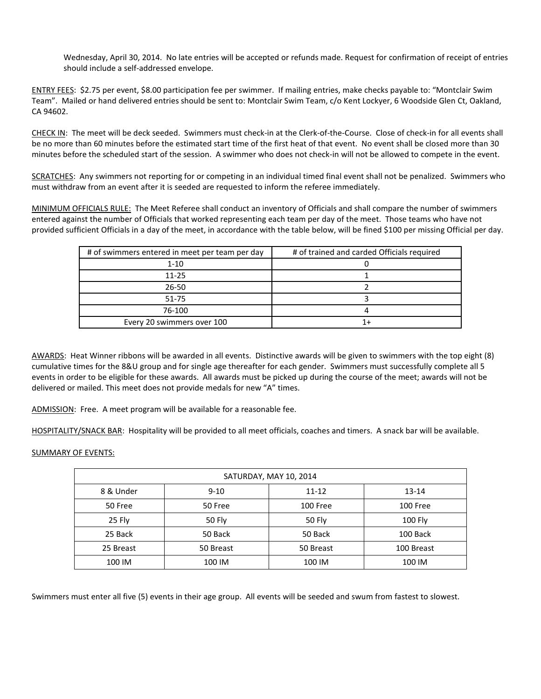Wednesday, April 30, 2014. No late entries will be accepted or refunds made. Request for confirmation of receipt of entries should include a self-addressed envelope.

ENTRY FEES: \$2.75 per event, \$8.00 participation fee per swimmer. If mailing entries, make checks payable to: "Montclair Swim Team". Mailed or hand delivered entries should be sent to: Montclair Swim Team, c/o Kent Lockyer, 6 Woodside Glen Ct, Oakland, CA 94602.

CHECK IN: The meet will be deck seeded. Swimmers must check-in at the Clerk-of-the-Course. Close of check-in for all events shall be no more than 60 minutes before the estimated start time of the first heat of that event. No event shall be closed more than 30 minutes before the scheduled start of the session. A swimmer who does not check-in will not be allowed to compete in the event.

SCRATCHES: Any swimmers not reporting for or competing in an individual timed final event shall not be penalized. Swimmers who must withdraw from an event after it is seeded are requested to inform the referee immediately.

MINIMUM OFFICIALS RULE: The Meet Referee shall conduct an inventory of Officials and shall compare the number of swimmers entered against the number of Officials that worked representing each team per day of the meet. Those teams who have not provided sufficient Officials in a day of the meet, in accordance with the table below, will be fined \$100 per missing Official per day.

| # of swimmers entered in meet per team per day | # of trained and carded Officials required |  |  |  |  |  |
|------------------------------------------------|--------------------------------------------|--|--|--|--|--|
| $1 - 10$                                       |                                            |  |  |  |  |  |
| $11 - 25$                                      |                                            |  |  |  |  |  |
| $26 - 50$                                      |                                            |  |  |  |  |  |
| $51 - 75$                                      |                                            |  |  |  |  |  |
| 76-100                                         |                                            |  |  |  |  |  |
| Every 20 swimmers over 100                     |                                            |  |  |  |  |  |

AWARDS: Heat Winner ribbons will be awarded in all events. Distinctive awards will be given to swimmers with the top eight (8) cumulative times for the 8&U group and for single age thereafter for each gender. Swimmers must successfully complete all 5 events in order to be eligible for these awards. All awards must be picked up during the course of the meet; awards will not be delivered or mailed. This meet does not provide medals for new "A" times.

ADMISSION: Free. A meet program will be available for a reasonable fee.

HOSPITALITY/SNACK BAR: Hospitality will be provided to all meet officials, coaches and timers. A snack bar will be available.

## SUMMARY OF EVENTS:

| SATURDAY, MAY 10, 2014 |           |               |            |  |  |  |  |  |
|------------------------|-----------|---------------|------------|--|--|--|--|--|
| 8 & Under              | $9 - 10$  | $11 - 12$     | $13 - 14$  |  |  |  |  |  |
| 50 Free                | 50 Free   | 100 Free      | 100 Free   |  |  |  |  |  |
| 25 Fly                 | 50 Fly    | <b>50 Fly</b> | 100 Fly    |  |  |  |  |  |
| 25 Back                | 50 Back   | 50 Back       | 100 Back   |  |  |  |  |  |
| 25 Breast              | 50 Breast | 50 Breast     | 100 Breast |  |  |  |  |  |
| 100 IM                 | 100 IM    | 100 IM        | 100 IM     |  |  |  |  |  |

Swimmers must enter all five (5) events in their age group. All events will be seeded and swum from fastest to slowest.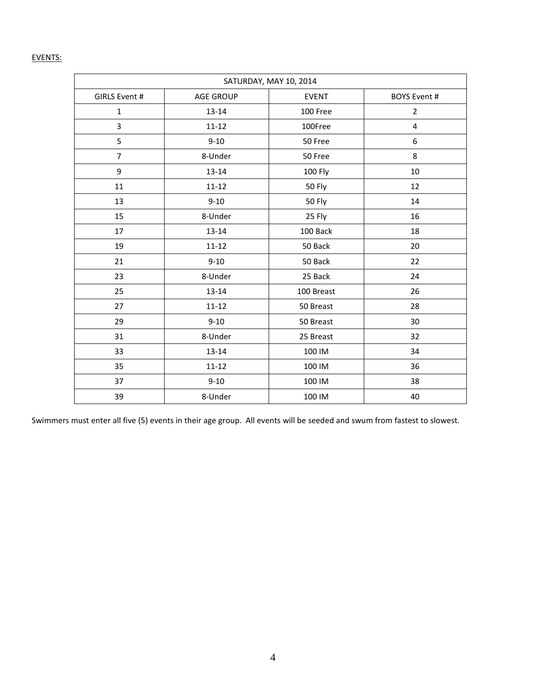## EVENTS:

| SATURDAY, MAY 10, 2014 |                  |               |                         |  |  |  |  |
|------------------------|------------------|---------------|-------------------------|--|--|--|--|
| GIRLS Event #          | <b>AGE GROUP</b> | <b>EVENT</b>  | <b>BOYS Event #</b>     |  |  |  |  |
| $\mathbf{1}$           | $13 - 14$        | 100 Free      | $\overline{2}$          |  |  |  |  |
| 3                      | $11 - 12$        | 100Free       | $\overline{\mathbf{4}}$ |  |  |  |  |
| 5                      | $9 - 10$         | 50 Free       | 6                       |  |  |  |  |
| $\overline{7}$         | 8-Under          | 50 Free       | 8                       |  |  |  |  |
| 9                      | $13 - 14$        | 100 Fly       | 10                      |  |  |  |  |
| 11                     | $11 - 12$        | <b>50 Fly</b> | 12                      |  |  |  |  |
| 13                     | $9 - 10$         | <b>50 Fly</b> | 14                      |  |  |  |  |
| 15                     | 8-Under          | 25 Fly        | 16                      |  |  |  |  |
| 17                     | $13 - 14$        | 100 Back      | 18                      |  |  |  |  |
| 19                     | $11 - 12$        | 50 Back       | 20                      |  |  |  |  |
| 21                     | $9 - 10$         | 50 Back       | 22                      |  |  |  |  |
| 23                     | 8-Under          | 25 Back       | 24                      |  |  |  |  |
| 25                     | $13 - 14$        | 100 Breast    | 26                      |  |  |  |  |
| 27                     | $11 - 12$        | 50 Breast     | 28                      |  |  |  |  |
| 29                     | $9 - 10$         | 50 Breast     | 30                      |  |  |  |  |
| 31                     | 8-Under          | 25 Breast     | 32                      |  |  |  |  |
| 33                     | 13-14            | 100 IM        | 34                      |  |  |  |  |
| 35                     | $11 - 12$        | 100 IM        | 36                      |  |  |  |  |
| 37                     | $9 - 10$         | 100 IM        | 38                      |  |  |  |  |
| 39                     | 8-Under          | 100 IM        | 40                      |  |  |  |  |

Swimmers must enter all five (5) events in their age group. All events will be seeded and swum from fastest to slowest.